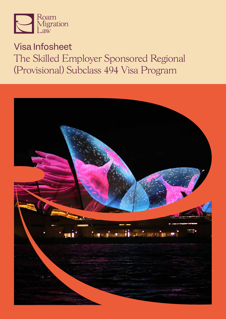

# Visa Infosheet The Skilled Employer Sponsored Regional (Provisional) Subclass 494 Visa Program

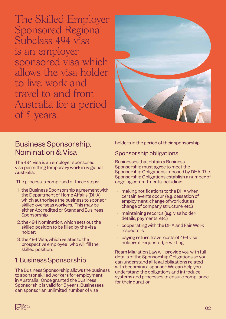The Skilled Employer Sponsored Regional Subclass 494 visa is an employer sponsored visa which allows the visa holder to live, work and travel to and from Australia for a period of 5 years.



## Business Sponsorship, Nomination & Visa

The 494 visa is an employer sponsored visa permitting temporary work in regional Australia.

The process is comprised of three steps:

- 1. the Business Sponsorship agreement with the Department of Home Affairs (DHA) which authorises the business to sponsor skilled overseas workers. This may be either Accredited or Standard Business Sponsorship;
- 2. the 494 Nomination, which sets out the skilled position to be filled by the visa holder;
- 3. the 494 Visa, which relates to the prospective employee who will fill the skilled position.

### 1. Business Sponsorship

The Business Sponsorship allows the business to sponsor skilled workers for employment in Australia. Once granted the Business Sponsorship is valid for 5 years. Businesses can sponsor an unlimited number of visa

holders in the period of their sponsorship.

### Sponsorship obligations

Businesses that obtain a Business Sponsorship must agree to meet the Sponsorship Obligations imposed by DHA. The Sponsorship Obligations establish a number of ongoing commitments including:

- $\cdot$  making notifications to the DHA when certain events occur (e.g. cessation of employment, change of work duties, change of company structure, etc.)
- maintaining records (e.g. visa holder details, payments, etc.)
- cooperating with the DHA and Fair Work **Inspectors**
- paying return travel costs of 494 visa holders if requested, in writing

Roam Migration Law will provide you with full details of the Sponsorship Obligations so you can understand all legal obligations related with becoming a sponsor. We can help you understand the obligations and introduce systems and processes to ensure compliance for their duration.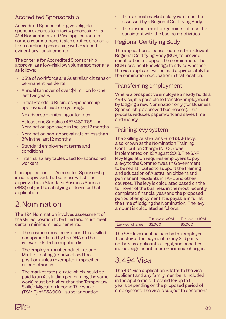### Accredited Sponsorship

Accredited Sponsorship gives eligible sponsors access to priority processing of all 494 Nominations and Visa applications. In some circumstances, it also entitles sponsors to streamlined processing with reduced evidentiary requirements.

The criteria for Accredited Sponsorship approval as a low-risk low volume sponsor are as follows:

- 85% of workforce are Australian citizens or permanent residents
- Annual turnover of over \$4 million for the last two years
- Initial Standard Business Sponsorship approved at least one year ago
- No adverse monitoring outcomes
- At least one Subclass 457/482 TSS visa Nomination approved in the last 12 months
- $\cdot$  Nomination non-approval rate of less than 3% in the last 12 months
- Standard employment terms and conditions
- Internal salary tables used for sponsored workers

If an application for Accredited Sponsorship is not approved, the business will still be approved as a Standard Business Sponsor (SBS) subject to satisfying criteria for that application.

# 2. Nomination

The 494 Nomination involves assessment of the skilled position to be filled and must meet certain minimum requirements:

- The position must correspond to a skilled occupation listed by the DHA on the relevant skilled occupation list.
- The employer must conduct Labour Market Testing (i.e. advertised the position) unless exempted in specified circumstances.
- The market rate (i.e. rate which would be paid to an Australian performing the same work) must be higher than the Temporary Skilled Migration Income Threshold (TSMIT) of \$53,900 + superannuation.
- The annual market salary rate must be assessed by a Regional Certifying Body.
- The position must be genuine  $-$  it must be consistent with the business activities.

### Regional Certifying Body

The application process requires the relevant Regional Certifying Body (RCB) to provide certification to support the nomination. The RCB uses local knowledge to advise whether the visa applicant will be paid appropriately for the nomination occupation in that location.

#### Transferring employment

Where a prospective employee already holds a 494 visa, it is possible to transfer employment by lodging a new Nomination only (for Business Sponsorship approved businesses). This process reduces paperwork and saves time and money.

#### Training levy system

The Skilling Australians Fund (SAF) levy, also known as the Nomination Training Contribution Charge (NTCC), was implemented on 12 August 2018. The SAF levy legislation requires employers to pay a levy to the Commonwealth Government to be redistributed to support the training and education of Australian citizens and permanent residents in TAFE and other courses. The levy is calculated based on the turnover of the business in the most recently completed financial year and the proposed period of employment. It is payable in full at the time of lodging the Nomination. The levy amount is calculated as follows:

|                        | Turnover <10M | 1 Turnover >10M |
|------------------------|---------------|-----------------|
| Levy surcharge \$3,000 |               | \$5,000         |

The SAF levy must be paid by the employer. Transfer of the payment to any 3rd party or the visa applicant is illegal, and penalties include significant fines or criminal charges.

## 3. 494 Visa

The 494 visa application relates to the visa applicant and any family members included in the application. It is valid for up to 5 years depending on the proposed period of employment. The visa is subject to conditions;